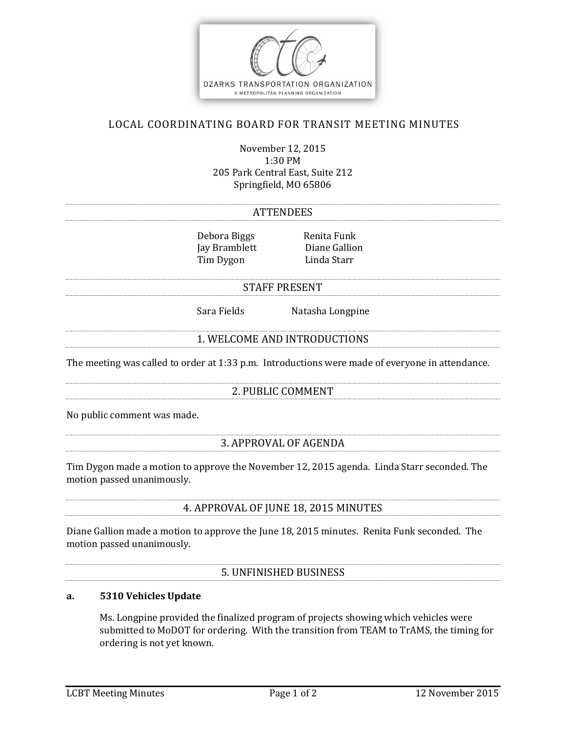

## LOCAL COORDINATING BOARD FOR TRANSIT MEETING MINUTES

November 12, 2015 1:30 PM 205 Park Central East, Suite 212 Springfield, MO 65806

#### **ATTENDEES**

Debora Biggs Renita Funk Jay Bramblett Diane Gallion Tim Dygon Linda Starr

#### STAFF PRESENT

Sara Fields Natasha Longpine

#### 1. WELCOME AND INTRODUCTIONS

The meeting was called to order at 1:33 p.m. Introductions were made of everyone in attendance.

### 2. PUBLIC COMMENT

No public comment was made.

### 3. APPROVAL OF AGENDA

Tim Dygon made a motion to approve the November 12, 2015 agenda. Linda Starr seconded. The motion passed unanimously.

#### 4. APPROVAL OF JUNE 18, 2015 MINUTES

Diane Gallion made a motion to approve the June 18, 2015 minutes. Renita Funk seconded. The motion passed unanimously.

### 5. UNFINISHED BUSINESS

## **a. 5310 Vehicles Update**

Ms. Longpine provided the finalized program of projects showing which vehicles were submitted to MoDOT for ordering. With the transition from TEAM to TrAMS, the timing for ordering is not yet known.